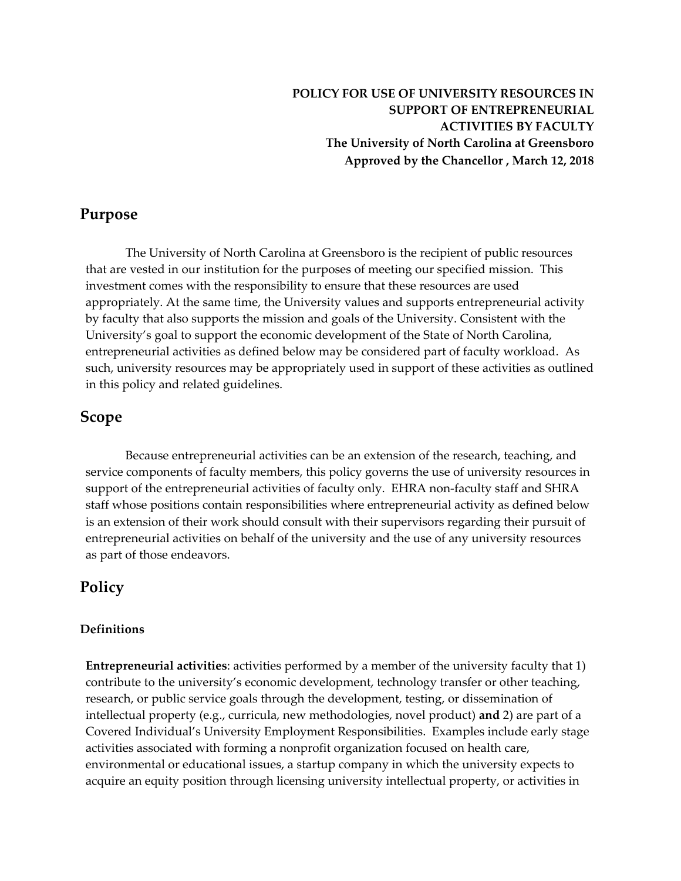**POLICY FOR USE OF UNIVERSITY RESOURCES IN SUPPORT OF ENTREPRENEURIAL ACTIVITIES BY FACULTY The University of North Carolina at Greensboro Approved by the Chancellor , March 12, 2018**

## **Purpose**

The University of North Carolina at Greensboro is the recipient of public resources that are vested in our institution for the purposes of meeting our specified mission. This investment comes with the responsibility to ensure that these resources are used appropriately. At the same time, the University values and supports entrepreneurial activity by faculty that also supports the mission and goals of the University. Consistent with the University's goal to support the economic development of the State of North Carolina, entrepreneurial activities as defined below may be considered part of faculty workload. As such, university resources may be appropriately used in support of these activities as outlined in this policy and related guidelines.

## **Scope**

Because entrepreneurial activities can be an extension of the research, teaching, and service components of faculty members, this policy governs the use of university resources in support of the entrepreneurial activities of faculty only. EHRA non-faculty staff and SHRA staff whose positions contain responsibilities where entrepreneurial activity as defined below is an extension of their work should consult with their supervisors regarding their pursuit of entrepreneurial activities on behalf of the university and the use of any university resources as part of those endeavors.

### **Policy**

#### **Definitions**

**Entrepreneurial activities**: activities performed by a member of the university faculty that 1) contribute to the university's economic development, technology transfer or other teaching, research, or public service goals through the development, testing, or dissemination of intellectual property (e.g., curricula, new methodologies, novel product) **and** 2) are part of a Covered Individual's University Employment Responsibilities. Examples include early stage activities associated with forming a nonprofit organization focused on health care, environmental or educational issues, a startup company in which the university expects to acquire an equity position through licensing university intellectual property, or activities in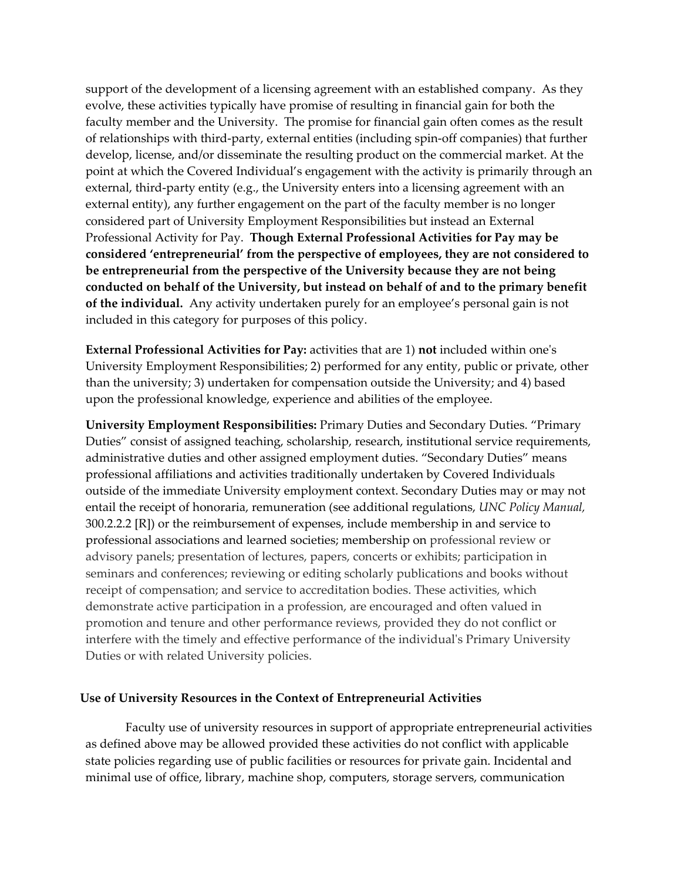support of the development of a licensing agreement with an established company. As they evolve, these activities typically have promise of resulting in financial gain for both the faculty member and the University. The promise for financial gain often comes as the result of relationships with third-party, external entities (including spin-off companies) that further develop, license, and/or disseminate the resulting product on the commercial market. At the point at which the Covered Individual's engagement with the activity is primarily through an external, third-party entity (e.g., the University enters into a licensing agreement with an external entity), any further engagement on the part of the faculty member is no longer considered part of University Employment Responsibilities but instead an External Professional Activity for Pay. **Though External Professional Activities for Pay may be considered 'entrepreneurial' from the perspective of employees, they are not considered to be entrepreneurial from the perspective of the University because they are not being conducted on behalf of the University, but instead on behalf of and to the primary benefit of the individual.** Any activity undertaken purely for an employee's personal gain is not included in this category for purposes of this policy.

**External Professional Activities for Pay:** activities that are 1) **not** included within one's University Employment Responsibilities; 2) performed for any entity, public or private, other than the university; 3) undertaken for compensation outside the University; and 4) based upon the professional knowledge, experience and abilities of the employee.

**University Employment Responsibilities:** Primary Duties and Secondary Duties. "Primary Duties" consist of assigned teaching, scholarship, research, institutional service requirements, administrative duties and other assigned employment duties. "Secondary Duties" means professional affiliations and activities traditionally undertaken by Covered Individuals outside of the immediate University employment context. Secondary Duties may or may not entail the receipt of honoraria, remuneration (see additional regulations, *UNC Policy Manual,*  300.2.2.2 [R]) or the reimbursement of expenses, include membership in and service to professional associations and learned societies; membership on professional review or advisory panels; presentation of lectures, papers, concerts or exhibits; participation in seminars and conferences; reviewing or editing scholarly publications and books without receipt of compensation; and service to accreditation bodies. These activities, which demonstrate active participation in a profession, are encouraged and often valued in promotion and tenure and other performance reviews, provided they do not conflict or interfere with the timely and effective performance of the individual's Primary University Duties or with related University policies.

#### **Use of University Resources in the Context of Entrepreneurial Activities**

Faculty use of university resources in support of appropriate entrepreneurial activities as defined above may be allowed provided these activities do not conflict with applicable state policies regarding use of public facilities or resources for private gain. Incidental and minimal use of office, library, machine shop, computers, storage servers, communication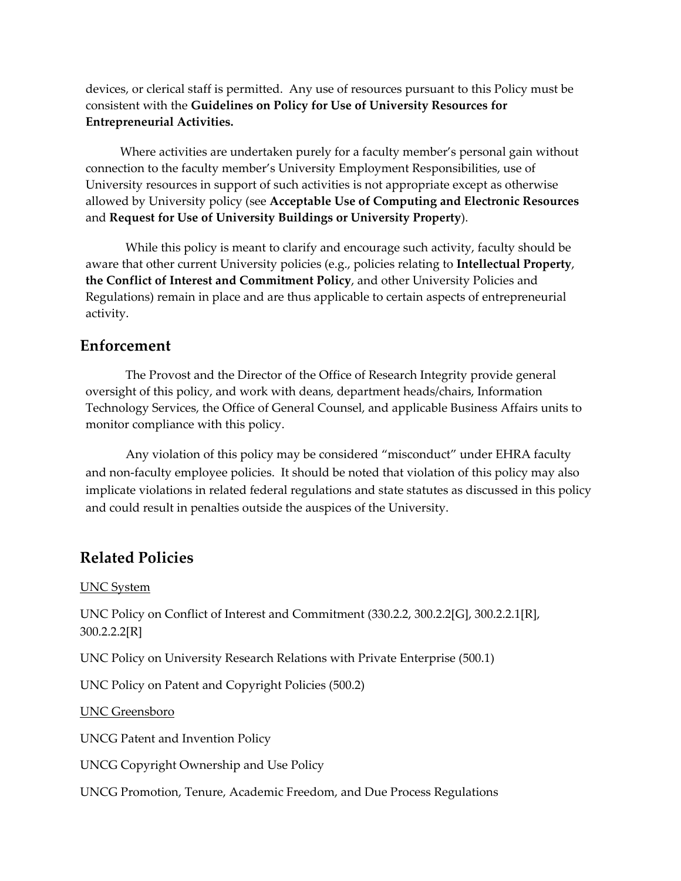devices, or clerical staff is permitted. Any use of resources pursuant to this Policy must be consistent with the **Guidelines on Policy for Use of University Resources for Entrepreneurial Activities.**

Where activities are undertaken purely for a faculty member's personal gain without connection to the faculty member's University Employment Responsibilities, use of University resources in support of such activities is not appropriate except as otherwise allowed by University policy (see **Acceptable Use of Computing and Electronic Resources** and **Request for Use of University Buildings or University Property**).

While this policy is meant to clarify and encourage such activity, faculty should be aware that other current University policies (e.g., policies relating to **Intellectual Property**, **the Conflict of Interest and Commitment Policy**, and other University Policies and Regulations) remain in place and are thus applicable to certain aspects of entrepreneurial activity.

## **Enforcement**

The Provost and the Director of the Office of Research Integrity provide general oversight of this policy, and work with deans, department heads/chairs, Information Technology Services, the Office of General Counsel, and applicable Business Affairs units to monitor compliance with this policy.

Any violation of this policy may be considered "misconduct" under EHRA faculty and non-faculty employee policies. It should be noted that violation of this policy may also implicate violations in related federal regulations and state statutes as discussed in this policy and could result in penalties outside the auspices of the University.

## **Related Policies**

#### UNC System

UNC Policy on Conflict of Interest and Commitment (330.2.2, 300.2.2[G], 300.2.2.1[R], 300.2.2.2[R]

UNC Policy on University Research Relations with Private Enterprise (500.1)

UNC Policy on Patent and Copyright Policies (500.2)

UNC Greensboro

UNCG Patent and Invention Policy

UNCG Copyright Ownership and Use Policy

UNCG Promotion, Tenure, Academic Freedom, and Due Process Regulations